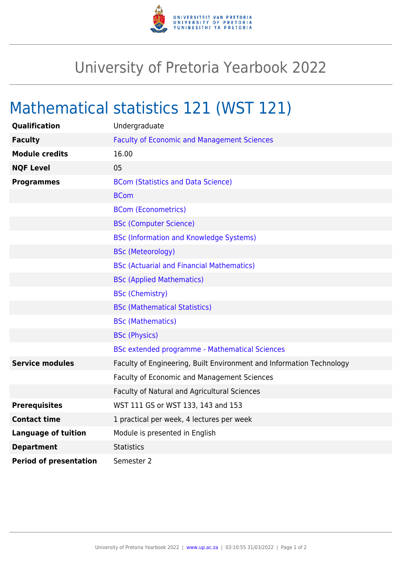

## University of Pretoria Yearbook 2022

## Mathematical statistics 121 (WST 121)

| Qualification                 | Undergraduate                                                        |
|-------------------------------|----------------------------------------------------------------------|
| <b>Faculty</b>                | <b>Faculty of Economic and Management Sciences</b>                   |
| <b>Module credits</b>         | 16.00                                                                |
| <b>NQF Level</b>              | 05                                                                   |
| <b>Programmes</b>             | <b>BCom (Statistics and Data Science)</b>                            |
|                               | <b>BCom</b>                                                          |
|                               | <b>BCom (Econometrics)</b>                                           |
|                               | <b>BSc (Computer Science)</b>                                        |
|                               | <b>BSc (Information and Knowledge Systems)</b>                       |
|                               | <b>BSc (Meteorology)</b>                                             |
|                               | <b>BSc (Actuarial and Financial Mathematics)</b>                     |
|                               | <b>BSc (Applied Mathematics)</b>                                     |
|                               | <b>BSc (Chemistry)</b>                                               |
|                               | <b>BSc (Mathematical Statistics)</b>                                 |
|                               | <b>BSc (Mathematics)</b>                                             |
|                               | <b>BSc (Physics)</b>                                                 |
|                               | <b>BSc extended programme - Mathematical Sciences</b>                |
| <b>Service modules</b>        | Faculty of Engineering, Built Environment and Information Technology |
|                               | Faculty of Economic and Management Sciences                          |
|                               | Faculty of Natural and Agricultural Sciences                         |
| <b>Prerequisites</b>          | WST 111 GS or WST 133, 143 and 153                                   |
| <b>Contact time</b>           | 1 practical per week, 4 lectures per week                            |
| <b>Language of tuition</b>    | Module is presented in English                                       |
| <b>Department</b>             | <b>Statistics</b>                                                    |
| <b>Period of presentation</b> | Semester 2                                                           |